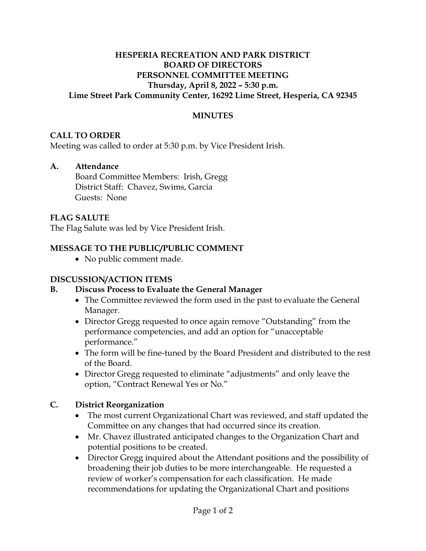#### **HESPERIA RECREATION AND PARK DISTRICT BOARD OF DIRECTORS PERSONNEL COMMITTEE MEETING Thursday, April 8, 2022 – 5:30 p.m. Lime Street Park Community Center, 16292 Lime Street, Hesperia, CA 92345**

# **MINUTES**

#### **CALL TO ORDER**

Meeting was called to order at 5:30 p.m. by Vice President Irish.

#### **A. Attendance**

Board Committee Members: Irish, Gregg District Staff: Chavez, Swims, Garcia Guests: None

# **FLAG SALUTE**

The Flag Salute was led by Vice President Irish.

# **MESSAGE TO THE PUBLIC/PUBLIC COMMENT**

• No public comment made.

#### **DISCUSSION/ACTION ITEMS**

# **B. Discuss Process to Evaluate the General Manager**

- The Committee reviewed the form used in the past to evaluate the General Manager.
- Director Gregg requested to once again remove "Outstanding" from the performance competencies, and add an option for "unacceptable performance."
- The form will be fine-tuned by the Board President and distributed to the rest of the Board.
- Director Gregg requested to eliminate "adjustments" and only leave the option, "Contract Renewal Yes or No."

#### **C. District Reorganization**

- The most current Organizational Chart was reviewed, and staff updated the Committee on any changes that had occurred since its creation.
- Mr. Chavez illustrated anticipated changes to the Organization Chart and potential positions to be created.
- Director Gregg inquired about the Attendant positions and the possibility of broadening their job duties to be more interchangeable. He requested a review of worker's compensation for each classification. He made recommendations for updating the Organizational Chart and positions